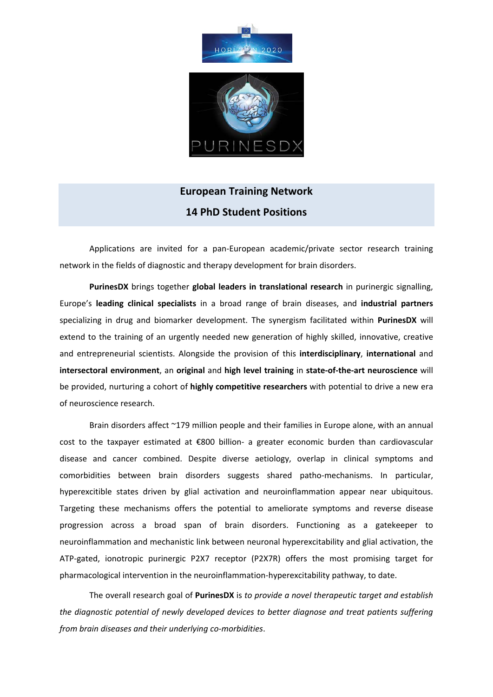

# **European Training Network 14 PhD Student Positions**

Applications are invited for a pan‐European academic/private sector research training network in the fields of diagnostic and therapy development for brain disorders.

**PurinesDX** brings together **global leaders in translational research** in purinergic signalling, Europe's **leading clinical specialists** in a broad range of brain diseases, and **industrial partners** specializing in drug and biomarker development. The synergism facilitated within **PurinesDX** will extend to the training of an urgently needed new generation of highly skilled, innovative, creative and entrepreneurial scientists. Alongside the provision of this **interdisciplinary**, **international** and **intersectoral environment**, an **original** and **high level training** in **state‐of‐the‐art neuroscience** will be provided, nurturing a cohort of **highly competitive researchers** with potential to drive a new era of neuroscience research.

Brain disorders affect ~179 million people and their families in Europe alone, with an annual cost to the taxpayer estimated at €800 billion‐ a greater economic burden than cardiovascular disease and cancer combined. Despite diverse aetiology, overlap in clinical symptoms and comorbidities between brain disorders suggests shared patho-mechanisms. In particular, hyperexcitible states driven by glial activation and neuroinflammation appear near ubiquitous. Targeting these mechanisms offers the potential to ameliorate symptoms and reverse disease progression across a broad span of brain disorders. Functioning as a gatekeeper to neuroinflammation and mechanistic link between neuronal hyperexcitability and glial activation, the ATP‐gated, ionotropic purinergic P2X7 receptor (P2X7R) offers the most promising target for pharmacological intervention in the neuroinflammation‐hyperexcitability pathway, to date.

The overall research goal of **PurinesDX** is *to provide a novel therapeutic target and establish the diagnostic potential of newly developed devices to better diagnose and treat patients suffering from brain diseases and their underlying co‐morbidities*.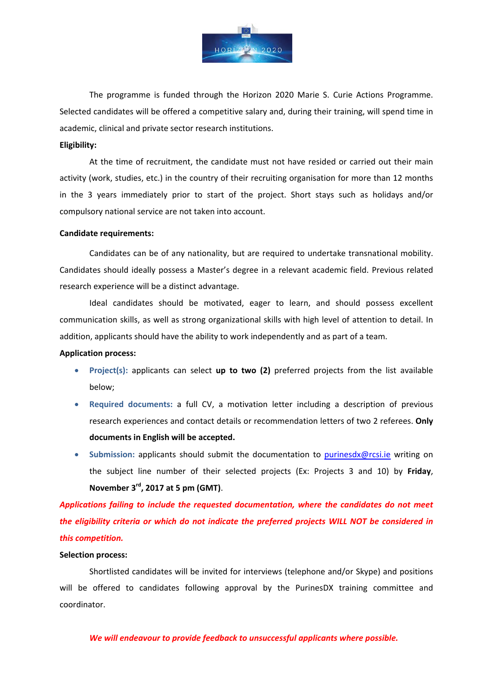

The programme is funded through the Horizon 2020 Marie S. Curie Actions Programme. Selected candidates will be offered a competitive salary and, during their training, will spend time in academic, clinical and private sector research institutions.

#### **Eligibility:**

At the time of recruitment, the candidate must not have resided or carried out their main activity (work, studies, etc.) in the country of their recruiting organisation for more than 12 months in the 3 years immediately prior to start of the project. Short stays such as holidays and/or compulsory national service are not taken into account.

#### **Candidate requirements:**

Candidates can be of any nationality, but are required to undertake transnational mobility. Candidates should ideally possess a Master's degree in a relevant academic field. Previous related research experience will be a distinct advantage.

Ideal candidates should be motivated, eager to learn, and should possess excellent communication skills, as well as strong organizational skills with high level of attention to detail. In addition, applicants should have the ability to work independently and as part of a team.

#### **Application process:**

- **Project(s):** applicants can select **up to two (2)** preferred projects from the list available below;
- **Required documents:** a full CV, a motivation letter including a description of previous research experiences and contact details or recommendation letters of two 2 referees. **Only documents in English will be accepted.**
- **Submission:** applicants should submit the documentation to purinesdx@rcsi.ie writing on the subject line number of their selected projects (Ex: Projects 3 and 10) by **Friday**, **November 3rd, 2017 at 5 pm (GMT)**.

*Applications failing to include the requested documentation, where the candidates do not meet the eligibility criteria or which do not indicate the preferred projects WILL NOT be considered in this competition.*

#### **Selection process:**

Shortlisted candidates will be invited for interviews (telephone and/or Skype) and positions will be offered to candidates following approval by the PurinesDX training committee and coordinator.

*We will endeavour to provide feedback to unsuccessful applicants where possible.*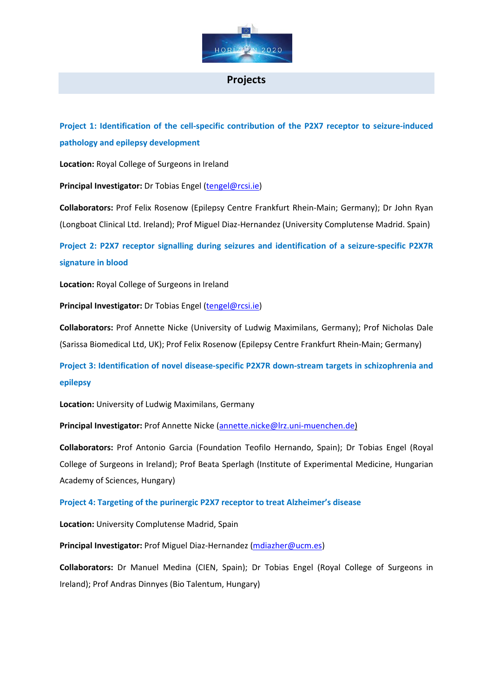

### **Projects**

**Project 1: Identification of the cell‐specific contribution of the P2X7 receptor to seizure‐induced pathology and epilepsy development**

**Location:** Royal College of Surgeons in Ireland

**Principal Investigator:** Dr Tobias Engel (tengel@rcsi.ie)

**Collaborators:** Prof Felix Rosenow (Epilepsy Centre Frankfurt Rhein‐Main; Germany); Dr John Ryan (Longboat Clinical Ltd. Ireland); Prof Miguel Diaz‐Hernandez (University Complutense Madrid. Spain)

**Project 2: P2X7 receptor signalling during seizures and identification of a seizure‐specific P2X7R signature in blood**

**Location:** Royal College of Surgeons in Ireland

**Principal Investigator:** Dr Tobias Engel (tengel@rcsi.ie)

**Collaborators:** Prof Annette Nicke (University of Ludwig Maximilans, Germany); Prof Nicholas Dale (Sarissa Biomedical Ltd, UK); Prof Felix Rosenow (Epilepsy Centre Frankfurt Rhein‐Main; Germany)

**Project 3: Identification of novel disease‐specific P2X7R down‐stream targets in schizophrenia and epilepsy**

**Location:** University of Ludwig Maximilans, Germany

**Principal Investigator:** Prof Annette Nicke (annette.nicke@lrz.uni‐muenchen.de)

**Collaborators:** Prof Antonio Garcia (Foundation Teofilo Hernando, Spain); Dr Tobias Engel (Royal College of Surgeons in Ireland); Prof Beata Sperlagh (Institute of Experimental Medicine, Hungarian Academy of Sciences, Hungary)

**Project 4: Targeting of the purinergic P2X7 receptor to treat Alzheimer's disease**

**Location:** University Complutense Madrid, Spain

**Principal Investigator:** Prof Miguel Diaz‐Hernandez (mdiazher@ucm.es)

**Collaborators:** Dr Manuel Medina (CIEN, Spain); Dr Tobias Engel (Royal College of Surgeons in Ireland); Prof Andras Dinnyes (Bio Talentum, Hungary)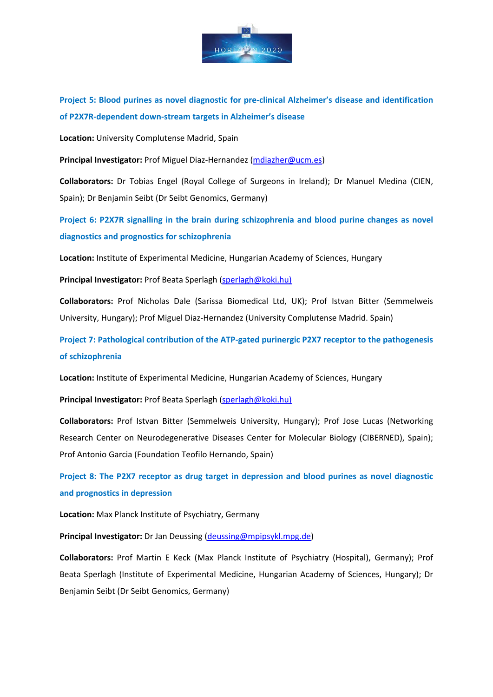

**Project 5: Blood purines as novel diagnostic for pre‐clinical Alzheimer's disease and identification of P2X7R‐dependent down‐stream targets in Alzheimer's disease**

**Location:** University Complutense Madrid, Spain

**Principal Investigator:** Prof Miguel Diaz‐Hernandez (mdiazher@ucm.es)

**Collaborators:** Dr Tobias Engel (Royal College of Surgeons in Ireland); Dr Manuel Medina (CIEN, Spain); Dr Benjamin Seibt (Dr Seibt Genomics, Germany)

**Project 6: P2X7R signalling in the brain during schizophrenia and blood purine changes as novel diagnostics and prognostics for schizophrenia**

**Location:** Institute of Experimental Medicine, Hungarian Academy of Sciences, Hungary

**Principal Investigator:** Prof Beata Sperlagh (sperlagh@koki.hu)

**Collaborators:** Prof Nicholas Dale (Sarissa Biomedical Ltd, UK); Prof Istvan Bitter (Semmelweis University, Hungary); Prof Miguel Diaz‐Hernandez (University Complutense Madrid. Spain)

**Project 7: Pathological contribution of the ATP‐gated purinergic P2X7 receptor to the pathogenesis of schizophrenia**

**Location:** Institute of Experimental Medicine, Hungarian Academy of Sciences, Hungary

**Principal Investigator:** Prof Beata Sperlagh (sperlagh@koki.hu)

**Collaborators:** Prof Istvan Bitter (Semmelweis University, Hungary); Prof Jose Lucas (Networking Research Center on Neurodegenerative Diseases Center for Molecular Biology (CIBERNED), Spain); Prof Antonio Garcia (Foundation Teofilo Hernando, Spain)

**Project 8: The P2X7 receptor as drug target in depression and blood purines as novel diagnostic and prognostics in depression**

**Location:** Max Planck Institute of Psychiatry, Germany

**Principal Investigator:** Dr Jan Deussing (deussing@mpipsykl.mpg.de)

**Collaborators:** Prof Martin E Keck (Max Planck Institute of Psychiatry (Hospital), Germany); Prof Beata Sperlagh (Institute of Experimental Medicine, Hungarian Academy of Sciences, Hungary); Dr Benjamin Seibt (Dr Seibt Genomics, Germany)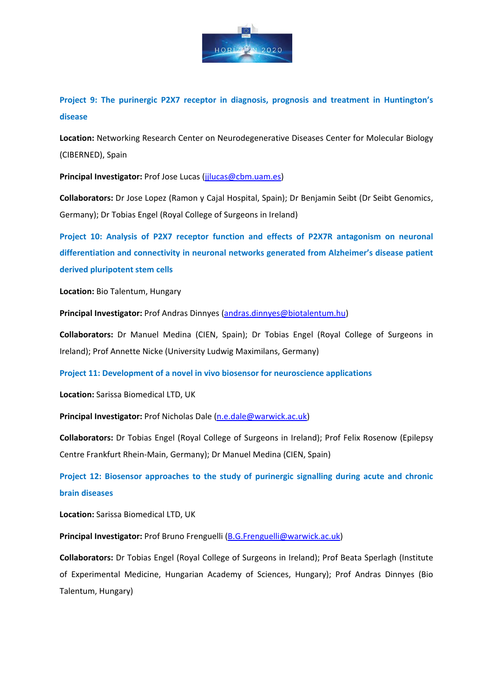

**Project 9: The purinergic P2X7 receptor in diagnosis, prognosis and treatment in Huntington's disease**

**Location:** Networking Research Center on Neurodegenerative Diseases Center for Molecular Biology (CIBERNED), Spain

**Principal Investigator:** Prof Jose Lucas (jjlucas@cbm.uam.es)

**Collaborators:** Dr Jose Lopez (Ramon y Cajal Hospital, Spain); Dr Benjamin Seibt (Dr Seibt Genomics, Germany); Dr Tobias Engel (Royal College of Surgeons in Ireland)

**Project 10: Analysis of P2X7 receptor function and effects of P2X7R antagonism on neuronal differentiation and connectivity in neuronal networks generated from Alzheimer's disease patient derived pluripotent stem cells**

**Location:** Bio Talentum, Hungary

**Principal Investigator:** Prof Andras Dinnyes (andras.dinnyes@biotalentum.hu)

**Collaborators:** Dr Manuel Medina (CIEN, Spain); Dr Tobias Engel (Royal College of Surgeons in Ireland); Prof Annette Nicke (University Ludwig Maximilans, Germany)

**Project 11: Development of a novel in vivo biosensor for neuroscience applications**

**Location:** Sarissa Biomedical LTD, UK

**Principal Investigator:** Prof Nicholas Dale (n.e.dale@warwick.ac.uk)

**Collaborators:** Dr Tobias Engel (Royal College of Surgeons in Ireland); Prof Felix Rosenow (Epilepsy Centre Frankfurt Rhein‐Main, Germany); Dr Manuel Medina (CIEN, Spain)

**Project 12: Biosensor approaches to the study of purinergic signalling during acute and chronic brain diseases**

**Location:** Sarissa Biomedical LTD, UK

**Principal Investigator:** Prof Bruno Frenguelli (B.G.Frenguelli@warwick.ac.uk)

**Collaborators:** Dr Tobias Engel (Royal College of Surgeons in Ireland); Prof Beata Sperlagh (Institute of Experimental Medicine, Hungarian Academy of Sciences, Hungary); Prof Andras Dinnyes (Bio Talentum, Hungary)